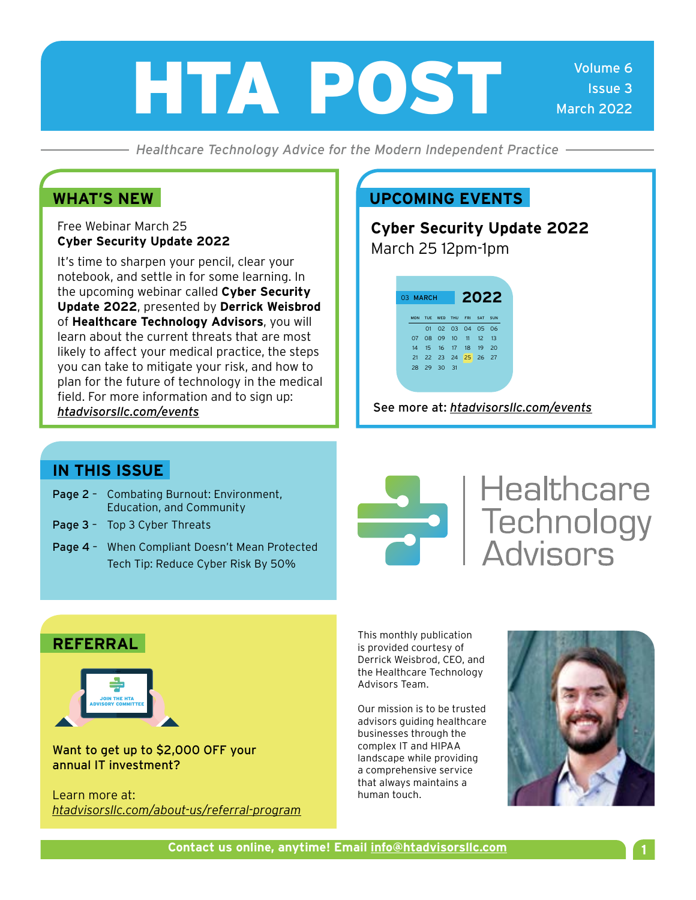# HTA POST

*Healthcare Technology Advice for the Modern Independent Practice*

Free Webinar March 25 **Cyber Security Update 2022**

It's time to sharpen your pencil, clear your notebook, and settle in for some learning. In the upcoming webinar called **Cyber Security Update 2022**, presented by **Derrick Weisbrod**  of **Healthcare Technology Advisors**, you will learn about the current threats that are most likely to affect your medical practice, the steps you can take to mitigate your risk, and how to plan for the future of technology in the medical field. For more information and to sign up: *[htadvisorsllc.com/events](http://htadvisorsllc.com/events)*

#### **WHAT'S NEW COMBINE COMPONER WHAT'S NEW COMBINE COMPONER WHAT'S**

**Cyber Security Update 2022** March 25 12pm-1pm

> MON TUE WED THU FRI SAT SUN 02 03 04 05 06 08 09 10 11 12 13 15 16 17 18 19 20 22 23 24 25 26 27 28 29 30 31 MARCH **2022**

See more at: *[htadvisorsllc.com/events](http://htadvisorsllc.com/events)*

#### **IN THIS ISSUE**

- Page 2 Combating Burnout: Environment, Education, and Community
- Page 3 Top 3 Cyber Threats
- Page 4 When Compliant Doesn't Mean Protected Tech Tip: Reduce Cyber Risk By 50%



## **Healthcare Sandwide Healthcare**<br>
Technology<br>
Advisors

#### **REFERRAL**



Want to get up to \$2,000 OFF your annual IT investment?

Learn more at: *[htadvisorsllc.com/about-us/referral-program](http://htadvisorsllc.com/about-us/referral-program)* This monthly publication is provided courtesy of Derrick Weisbrod, CEO, and the Healthcare Technology Advisors Team.

Our mission is to be trusted advisors guiding healthcare businesses through the complex IT and HIPAA landscape while providing a comprehensive service that always maintains a human touch.

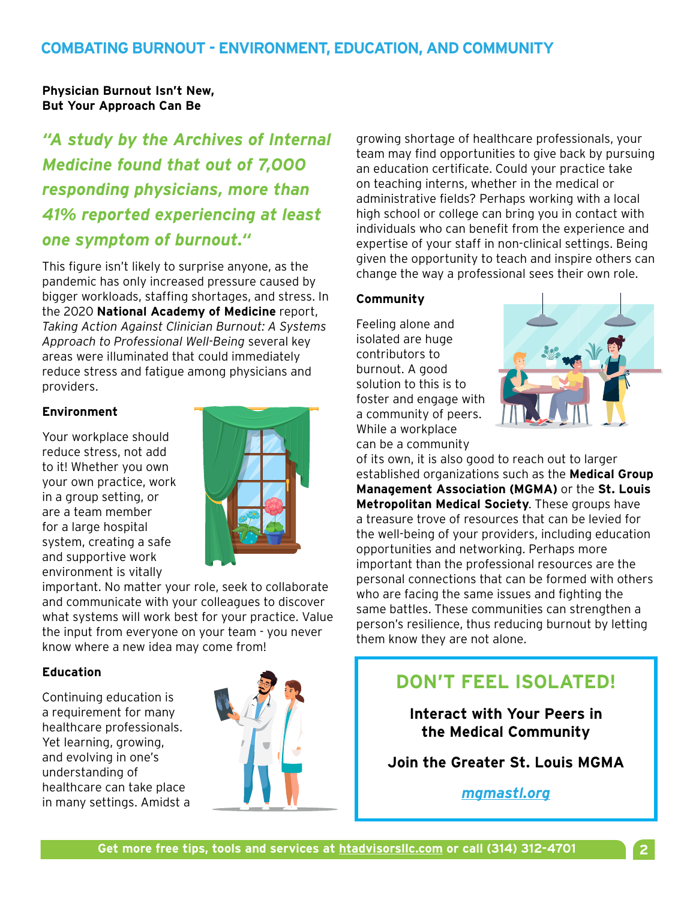**Physician Burnout Isn't New, But Your Approach Can Be** 

*"A study by the Archives of Internal Medicine found that out of 7,000 responding physicians, more than 41% reported experiencing at least one symptom of burnout."*

This figure isn't likely to surprise anyone, as the pandemic has only increased pressure caused by bigger workloads, staffing shortages, and stress. In the 2020 **National Academy of Medicine** report, *Taking Action Against Clinician Burnout: A Systems Approach to Professional Well-Being* several key areas were illuminated that could immediately reduce stress and fatigue among physicians and providers.

#### **Environment**

Your workplace should reduce stress, not add to it! Whether you own your own practice, work in a group setting, or are a team member for a large hospital system, creating a safe and supportive work environment is vitally



important. No matter your role, seek to collaborate and communicate with your colleagues to discover what systems will work best for your practice. Value the input from everyone on your team - you never know where a new idea may come from!

#### **Education**

Continuing education is a requirement for many healthcare professionals. Yet learning, growing, and evolving in one's understanding of healthcare can take place in many settings. Amidst a



growing shortage of healthcare professionals, your team may find opportunities to give back by pursuing an education certificate. Could your practice take on teaching interns, whether in the medical or administrative fields? Perhaps working with a local high school or college can bring you in contact with individuals who can benefit from the experience and expertise of your staff in non-clinical settings. Being given the opportunity to teach and inspire others can change the way a professional sees their own role.

#### **Community**

Feeling alone and isolated are huge contributors to burnout. A good solution to this is to foster and engage with a community of peers. While a workplace can be a community



of its own, it is also good to reach out to larger established organizations such as the **Medical Group Management Association (MGMA)** or the **St. Louis Metropolitan Medical Society**. These groups have a treasure trove of resources that can be levied for the well-being of your providers, including education opportunities and networking. Perhaps more important than the professional resources are the personal connections that can be formed with others who are facing the same issues and fighting the same battles. These communities can strengthen a person's resilience, thus reducing burnout by letting them know they are not alone.

#### **DON'T FEEL ISOLATED!**

**Interact with Your Peers in the Medical Community**

**Join the Greater St. Louis MGMA**

*[mgmastl.org](http://mgmastl.org)*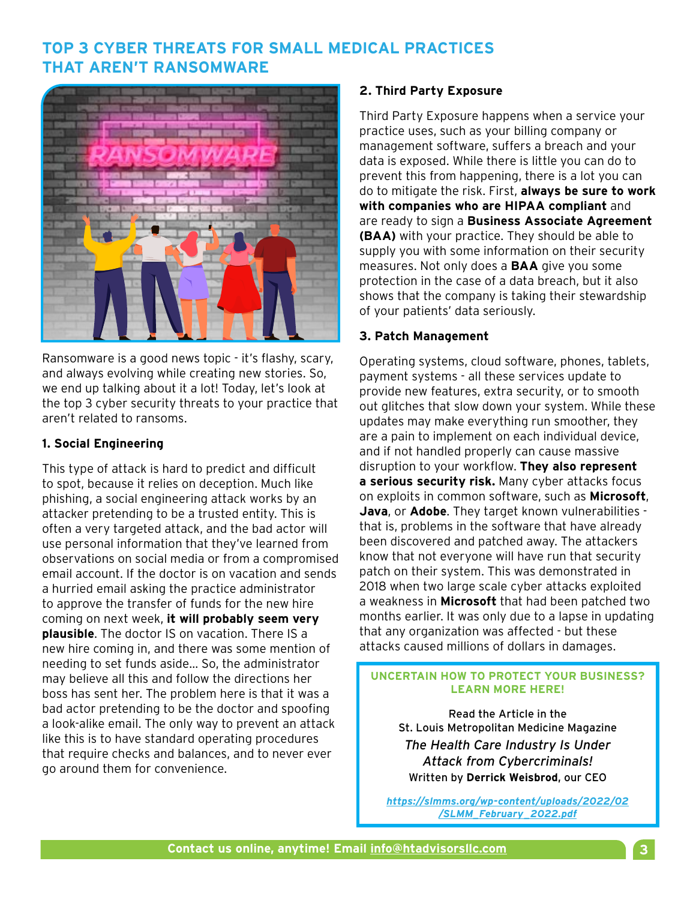#### **TOP 3 CYBER THREATS FOR SMALL MEDICAL PRACTICES THAT AREN'T RANSOMWARE**



Ransomware is a good news topic - it's flashy, scary, and always evolving while creating new stories. So, we end up talking about it a lot! Today, let's look at the top 3 cyber security threats to your practice that aren't related to ransoms.

#### **1. Social Engineering**

This type of attack is hard to predict and difficult to spot, because it relies on deception. Much like phishing, a social engineering attack works by an attacker pretending to be a trusted entity. This is often a very targeted attack, and the bad actor will use personal information that they've learned from observations on social media or from a compromised email account. If the doctor is on vacation and sends a hurried email asking the practice administrator to approve the transfer of funds for the new hire coming on next week, **it will probably seem very plausible**. The doctor IS on vacation. There IS a new hire coming in, and there was some mention of needing to set funds aside… So, the administrator may believe all this and follow the directions her boss has sent her. The problem here is that it was a bad actor pretending to be the doctor and spoofing a look-alike email. The only way to prevent an attack like this is to have standard operating procedures that require checks and balances, and to never ever go around them for convenience.

#### **2. Third Party Exposure**

Third Party Exposure happens when a service your practice uses, such as your billing company or management software, suffers a breach and your data is exposed. While there is little you can do to prevent this from happening, there is a lot you can do to mitigate the risk. First, **always be sure to work with companies who are HIPAA compliant** and are ready to sign a **Business Associate Agreement (BAA)** with your practice. They should be able to supply you with some information on their security measures. Not only does a **BAA** give you some protection in the case of a data breach, but it also shows that the company is taking their stewardship of your patients' data seriously.

#### **3. Patch Management**

Operating systems, cloud software, phones, tablets, payment systems - all these services update to provide new features, extra security, or to smooth out glitches that slow down your system. While these updates may make everything run smoother, they are a pain to implement on each individual device, and if not handled properly can cause massive disruption to your workflow. **They also represent a serious security risk.** Many cyber attacks focus on exploits in common software, such as **Microsoft**, **Java**, or **Adobe**. They target known vulnerabilities that is, problems in the software that have already been discovered and patched away. The attackers know that not everyone will have run that security patch on their system. This was demonstrated in 2018 when two large scale cyber attacks exploited a weakness in **Microsoft** that had been patched two months earlier. It was only due to a lapse in updating that any organization was affected - but these attacks caused millions of dollars in damages.

#### **UNCERTAIN HOW TO PROTECT YOUR BUSINESS? LEARN MORE HERE!**

Read the Article in the St. Louis Metropolitan Medicine Magazine *The Health Care Industry Is Under Attack from Cybercriminals!* Written by **Derrick Weisbrod**, our CEO

*https://slmms.org/wp-content/uploads/2022/02 /SLMM\_February\_2022.pdf*